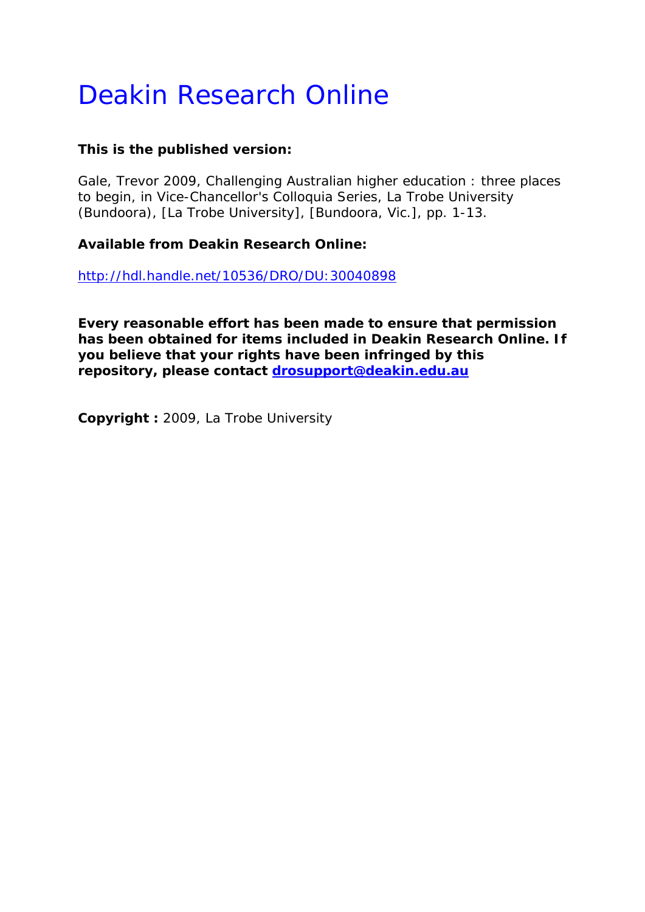# Deakin Research Online

# **This is the published version:**

Gale, Trevor 2009, Challenging Australian higher education : three places to begin*, in Vice-Chancellor's Colloquia Series, La Trobe University (Bundoora)*, [La Trobe University], [Bundoora, Vic.], pp. 1-13.

# **Available from Deakin Research Online:**

http://hdl.handle.net/10536/DRO/DU:30040898

**Every reasonable effort has been made to ensure that permission has been obtained for items included in Deakin Research Online. If you believe that your rights have been infringed by this repository, please contact drosupport@deakin.edu.au** 

**Copyright :** 2009, La Trobe University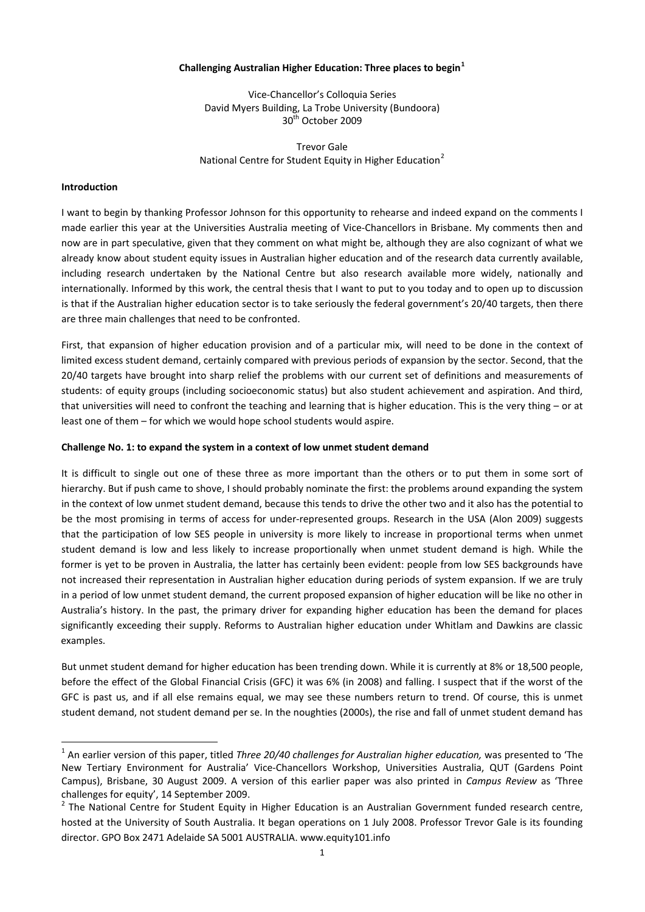## **Challenging Australian Higher Education: Three places to begin[1](#page-1-0)**

Vice‐Chancellor's Colloquia Series David Myers Building, La Trobe University (Bundoora) 30<sup>th</sup> October 2009

Trevor Gale National Centre for Student Equity in Higher Education<sup>[2](#page-1-1)</sup>

## **Introduction**

I want to begin by thanking Professor Johnson for this opportunity to rehearse and indeed expand on the comments I made earlier this year at the Universities Australia meeting of Vice-Chancellors in Brisbane. My comments then and now are in part speculative, given that they comment on what might be, although they are also cognizant of what we already know about student equity issues in Australian higher education and of the research data currently available, including research undertaken by the National Centre but also research available more widely, nationally and internationally. Informed by this work, the central thesis that I want to put to you today and to open up to discussion is that if the Australian higher education sector is to take seriously the federal government's 20/40 targets, then there are three main challenges that need to be confronted.

First, that expansion of higher education provision and of a particular mix, will need to be done in the context of limited excess student demand, certainly compared with previous periods of expansion by the sector. Second, that the 20/40 targets have brought into sharp relief the problems with our current set of definitions and measurements of students: of equity groups (including socioeconomic status) but also student achievement and aspiration. And third, that universities will need to confront the teaching and learning that is higher education. This is the very thing – or at least one of them – for which we would hope school students would aspire.

## **Challenge No. 1: to expand the system in a context of low unmet student demand**

It is difficult to single out one of these three as more important than the others or to put them in some sort of hierarchy. But if push came to shove, I should probably nominate the first: the problems around expanding the system in the context of low unmet student demand, because this tends to drive the other two and it also has the potential to be the most promising in terms of access for under-represented groups. Research in the USA (Alon 2009) suggests that the participation of low SES people in university is more likely to increase in proportional terms when unmet student demand is low and less likely to increase proportionally when unmet student demand is high. While the former is yet to be proven in Australia, the latter has certainly been evident: people from low SES backgrounds have not increased their representation in Australian higher education during periods of system expansion. If we are truly in a period of low unmet student demand, the current proposed expansion of higher education will be like no other in Australia's history. In the past, the primary driver for expanding higher education has been the demand for places significantly exceeding their supply. Reforms to Australian higher education under Whitlam and Dawkins are classic examples.

student demand, not student demand per se. In the noughties (2000s), the rise and fall of unmet student demand has But unmet student demand for higher education has been trending down. While it is currently at 8% or 18,500 people, before the effect of the Global Financial Crisis (GFC) it was 6% (in 2008) and falling. I suspect that if the worst of the GFC is past us, and if all else remains equal, we may see these numbers return to trend. Of course, this is unmet

<span id="page-1-0"></span><sup>1</sup> An earlier version of this paper, titled *Three 20/40 challenges for Australian higher education,* was presented to 'The New Tertiary Environment for Australia' Vice‐Chancellors Workshop, Universities Australia, QUT (Gardens Point Campus), Brisbane, 30 August 2009. A version of this earlier paper was also printed in *Campus Review* as 'Three challenges for equity', 14 September 2009.<br><sup>2</sup> The National Centre for Student Equity in Higher Education is an Australian Government funded research centre,

<span id="page-1-1"></span>hosted at the University of South Australia. It began operations on 1 July 2008. Professor Trevor Gale is its founding director. GPO Box 2471 Adelaide SA 5001 AUSTRALIA. www.equity101.info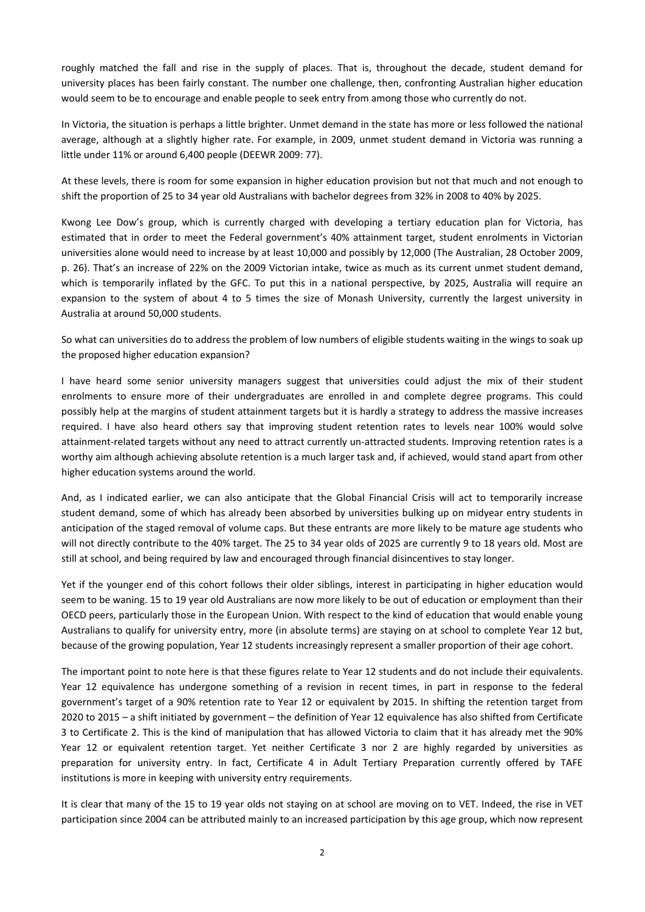roughly matched the fall and rise in the supply of places. That is, throughout the decade, student demand for university places has been fairly constant. The number one challenge, then, confronting Australian higher education would seem to be to encourage and enable people to seek entry from among those who currently do not.

In Victoria, the situation is perhaps a little brighter. Unmet demand in the state has more or less followed the national average, although at a slightly higher rate. For example, in 2009, unmet student demand in Victoria was running a little under 11% or around 6,400 people (DEEWR 2009: 77).

At these levels, there is room for some expansion in higher education provision but not that much and not enough to shift the proportion of 25 to 34 year old Australians with bachelor degrees from 32% in 2008 to 40% by 2025.

Kwong Lee Dow's group, which is currently charged with developing a tertiary education plan for Victoria, has estimated that in order to meet the Federal government's 40% attainment target, student enrolments in Victorian universities alone would need to increase by at least 10,000 and possibly by 12,000 (The Australian, 28 October 2009, p. 26). That's an increase of 22% on the 2009 Victorian intake, twice as much as its current unmet student demand, which is temporarily inflated by the GFC. To put this in a national perspective, by 2025, Australia will require an expansion to the system of about 4 to 5 times the size of Monash University, currently the largest university in Australia at around 50,000 students.

So what can universities do to address the problem of low numbers of eligible students waiting in the wings to soak up the proposed higher education expansion?

I have heard some senior university managers suggest that universities could adjust the mix of their student enrolments to ensure more of their undergraduates are enrolled in and complete degree programs. This could possibly help at the margins of student attainment targets but it is hardly a strategy to address the massive increases required. I have also heard others say that improving student retention rates to levels near 100% would solve attainment-related targets without any need to attract currently un-attracted students. Improving retention rates is a worthy aim although achieving absolute retention is a much larger task and, if achieved, would stand apart from other higher education systems around the world.

And, as I indicated earlier, we can also anticipate that the Global Financial Crisis will act to temporarily increase student demand, some of which has already been absorbed by universities bulking up on midyear entry students in anticipation of the staged removal of volume caps. But these entrants are more likely to be mature age students who will not directly contribute to the 40% target. The 25 to 34 year olds of 2025 are currently 9 to 18 years old. Most are still at school, and being required by law and encouraged through financial disincentives to stay longer.

Yet if the younger end of this cohort follows their older siblings, interest in participating in higher education would seem to be waning. 15 to 19 year old Australians are now more likely to be out of education or employment than their OECD peers, particularly those in the European Union. With respect to the kind of education that would enable young Australians to qualify for university entry, more (in absolute terms) are staying on at school to complete Year 12 but, because of the growing population, Year 12 students increasingly represent a smaller proportion of their age cohort.

The important point to note here is that these figures relate to Year 12 students and do not include their equivalents. Year 12 equivalence has undergone something of a revision in recent times, in part in response to the federal government's target of a 90% retention rate to Year 12 or equivalent by 2015. In shifting the retention target from 2020 to 2015 – a shift initiated by government – the definition of Year 12 equivalence has also shifted from Certificate 3 to Certificate 2. This is the kind of manipulation that has allowed Victoria to claim that it has already met the 90% Year 12 or equivalent retention target. Yet neither Certificate 3 nor 2 are highly regarded by universities as preparation for university entry. In fact, Certificate 4 in Adult Tertiary Preparation currently offered by TAFE institutions is more in keeping with university entry requirements.

It is clear that many of the 15 to 19 year olds not staying on at school are moving on to VET. Indeed, the rise in VET participation since 2004 can be attributed mainly to an increased participation by this age group, which now represent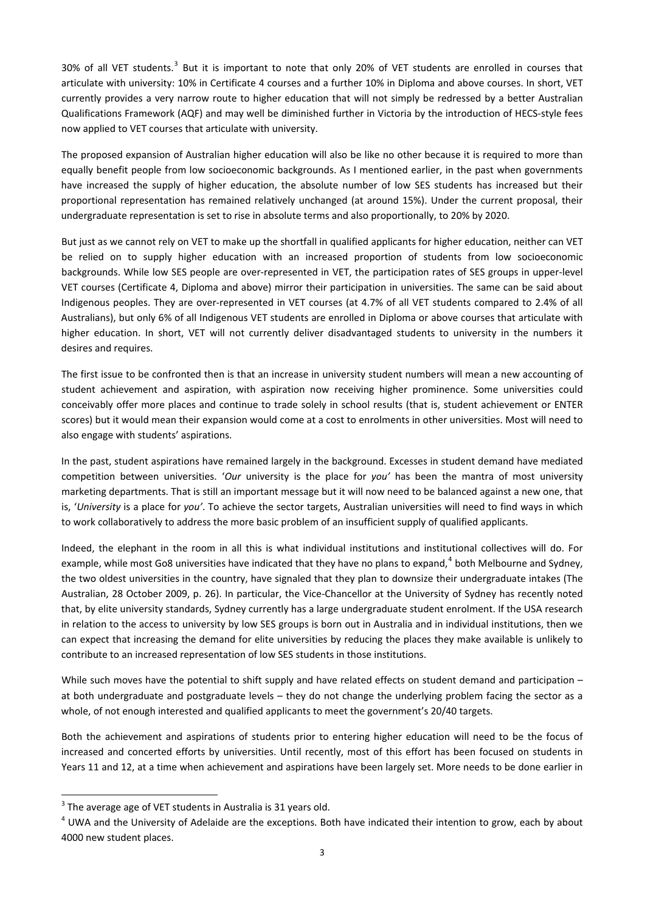[3](#page-3-0)0% of all VET students.<sup>3</sup> But it is important to note that only 20% of VET students are enrolled in courses that articulate with university: 10% in Certificate 4 courses and a further 10% in Diploma and above courses. In short, VET currently provides a very narrow route to higher education that will not simply be redressed by a better Australian Qualifications Framework (AQF) and may well be diminished further in Victoria by the introduction of HECS‐style fees now applied to VET courses that articulate with university.

The proposed expansion of Australian higher education will also be like no other because it is required to more than equally benefit people from low socioeconomic backgrounds. As I mentioned earlier, in the past when governments have increased the supply of higher education, the absolute number of low SES students has increased but their proportional representation has remained relatively unchanged (at around 15%). Under the current proposal, their undergraduate representation is set to rise in absolute terms and also proportionally, to 20% by 2020.

But just as we cannot rely on VET to make up the shortfall in qualified applicants for higher education, neither can VET be relied on to supply higher education with an increased proportion of students from low socioeconomic backgrounds. While low SES people are over‐represented in VET, the participation rates of SES groups in upper‐level VET courses (Certificate 4, Diploma and above) mirror their participation in universities. The same can be said about Indigenous peoples. They are over-represented in VET courses (at 4.7% of all VET students compared to 2.4% of all Australians), but only 6% of all Indigenous VET students are enrolled in Diploma or above courses that articulate with higher education. In short, VET will not currently deliver disadvantaged students to university in the numbers it desires and requires.

The first issue to be confronted then is that an increase in university student numbers will mean a new accounting of student achievement and aspiration, with aspiration now receiving higher prominence. Some universities could conceivably offer more places and continue to trade solely in school results (that is, student achievement or ENTER scores) but it would mean their expansion would come at a cost to enrolments in other universities. Most will need to also engage with students' aspirations.

In the past, student aspirations have remained largely in the background. Excesses in student demand have mediated competition between universities. '*Our* university is the place for *you'* has been the mantra of most university marketing departments. That is still an important message but it will now need to be balanced against a new one, that is, '*University* is a place for *you'*. To achieve the sector targets, Australian universities will need to find ways in which to work collaboratively to address the more basic problem of an insufficient supply of qualified applicants.

Indeed, the elephant in the room in all this is what individual institutions and institutional collectives will do. For example, while most Go8 universities have indicated that they have no plans to expand,<sup>[4](#page-3-1)</sup> both Melbourne and Sydney, the two oldest universities in the country, have signaled that they plan to downsize their undergraduate intakes (The Australian, 28 October 2009, p. 26). In particular, the Vice‐Chancellor at the University of Sydney has recently noted that, by elite university standards, Sydney currently has a large undergraduate student enrolment. If the USA research in relation to the access to university by low SES groups is born out in Australia and in individual institutions, then we can expect that increasing the demand for elite universities by reducing the places they make available is unlikely to contribute to an increased representation of low SES students in those institutions.

While such moves have the potential to shift supply and have related effects on student demand and participation – at both undergraduate and postgraduate levels – they do not change the underlying problem facing the sector as a whole, of not enough interested and qualified applicants to meet the government's 20/40 targets.

Years 11 and 12, at a time when achievement and aspirations have been largely set. More needs to be done earlier in Both the achievement and aspirations of students prior to entering higher education will need to be the focus of increased and concerted efforts by universities. Until recently, most of this effort has been focused on students in

<span id="page-3-0"></span> $3$  The average age of VET students in Australia is 31 years old.

<span id="page-3-1"></span> $4$  UWA and the University of Adelaide are the exceptions. Both have indicated their intention to grow, each by about 4000 new student places.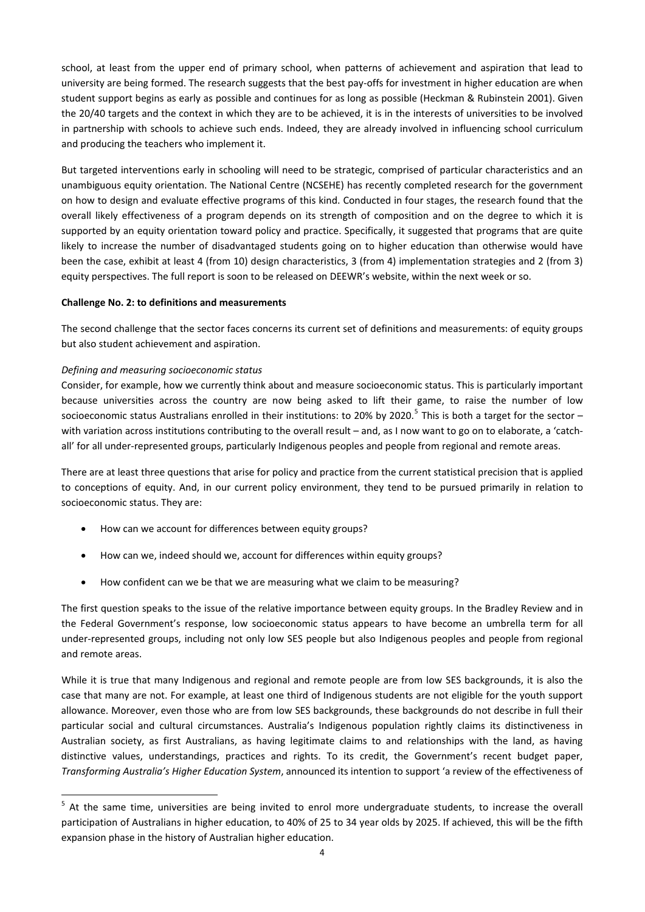school, at least from the upper end of primary school, when patterns of achievement and aspiration that lead to university are being formed. The research suggests that the best pay-offs for investment in higher education are when student support begins as early as possible and continues for as long as possible (Heckman & Rubinstein 2001). Given the 20/40 targets and the context in which they are to be achieved, it is in the interests of universities to be involved in partnership with schools to achieve such ends. Indeed, they are already involved in influencing school curriculum and producing the teachers who implement it.

But targeted interventions early in schooling will need to be strategic, comprised of particular characteristics and an unambiguous equity orientation. The National Centre (NCSEHE) has recently completed research for the government on how to design and evaluate effective programs of this kind. Conducted in four stages, the research found that the overall likely effectiveness of a program depends on its strength of composition and on the degree to which it is supported by an equity orientation toward policy and practice. Specifically, it suggested that programs that are quite likely to increase the number of disadvantaged students going on to higher education than otherwise would have been the case, exhibit at least 4 (from 10) design characteristics, 3 (from 4) implementation strategies and 2 (from 3) equity perspectives. The full report is soon to be released on DEEWR's website, within the next week or so.

# **Challenge No. 2: to definitions and measurements**

The second challenge that the sector faces concerns its current set of definitions and measurements: of equity groups but also student achievement and aspiration.

# *Defining and measuring socioeconomic status*

Consider, for example, how we currently think about and measure socioeconomic status. This is particularly important because universities across the country are now being asked to lift their game, to raise the number of low socioeconomic status Australians enrolled in their institutions: to 20% by 2020.<sup>[5](#page-4-0)</sup> This is both a target for the sector – with variation across institutions contributing to the overall result – and, as I now want to go on to elaborate, a 'catchall' for all under‐represented groups, particularly Indigenous peoples and people from regional and remote areas.

There are at least three questions that arise for policy and practice from the current statistical precision that is applied to conceptions of equity. And, in our current policy environment, they tend to be pursued primarily in relation to socioeconomic status. They are:

- How can we account for differences between equity groups?
- How can we, indeed should we, account for differences within equity groups?
- How confident can we be that we are measuring what we claim to be measuring?

The first question speaks to the issue of the relative importance between equity groups. In the Bradley Review and in the Federal Government's response, low socioeconomic status appears to have become an umbrella term for all under‐represented groups, including not only low SES people but also Indigenous peoples and people from regional and remote areas.

*Transforming Australia's Higher Edu cation System*, announced its intention to support 'a review of the effectiveness of While it is true that many Indigenous and regional and remote people are from low SES backgrounds, it is also the case that many are not. For example, at least one third of Indigenous students are not eligible for the youth support allowance. Moreover, even those who are from low SES backgrounds, these backgrounds do not describe in full their particular social and cultural circumstances. Australia's Indigenous population rightly claims its distinctiveness in Australian society, as first Australians, as having legitimate claims to and relationships with the land, as having distinctive values, understandings, practices and rights. To its credit, the Government's recent budget paper,

<span id="page-4-0"></span><sup>&</sup>lt;sup>5</sup> At the same time, universities are being invited to enrol more undergraduate students, to increase the overall participation of Australians in higher education, to 40% of 25 to 34 year olds by 2025. If achieved, this will be the fifth expansion phase in the history of Australian higher education.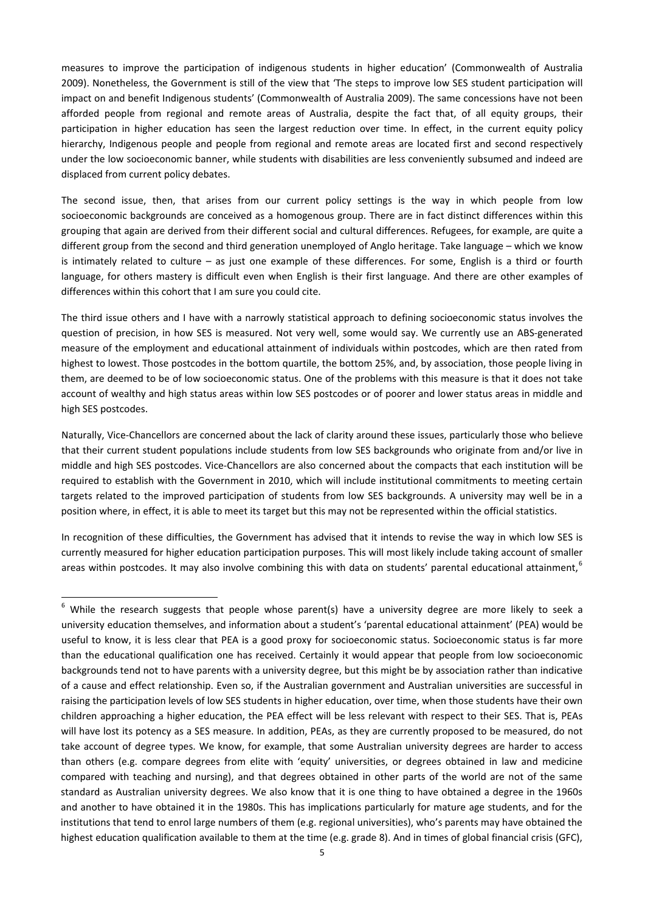measures to improve the participation of indigenous students in higher education' (Commonwealth of Australia 2009). Nonetheless, the Government is still of the view that 'The steps to improve low SES student participation will impact on and benefit Indigenous students' (Commonwealth of Australia 2009). The same concessions have not been afforded people from regional and remote areas of Australia, despite the fact that, of all equity groups, their participation in higher education has seen the largest reduction over time. In effect, in the current equity policy hierarchy, Indigenous people and people from regional and remote areas are located first and second respectively under the low socioeconomic banner, while students with disabilities are less conveniently subsumed and indeed are displaced from current policy debates.

The second issue, then, that arises from our current policy settings is the way in which people from low socioeconomic backgrounds are conceived as a homogenous group. There are in fact distinct differences within this grouping that again are derived from their different social and cultural differences. Refugees, for example, are quite a different group from the second and third generation unemployed of Anglo heritage. Take language – which we know is intimately related to culture – as just one example of these differences. For some, English is a third or fourth language, for others mastery is difficult even when English is their first language. And there are other examples of differences within this cohort that I am sure you could cite.

The third issue others and I have with a narrowly statistical approach to defining socioeconomic status involves the question of precision, in how SES is measured. Not very well, some would say. We currently use an ABS‐generated measure of the employment and educational attainment of individuals within postcodes, which are then rated from highest to lowest. Those postcodes in the bottom quartile, the bottom 25%, and, by association, those people living in them, are deemed to be of low socioeconomic status. One of the problems with this measure is that it does not take account of wealthy and high status areas within low SES postcodes or of poorer and lower status areas in middle and high SES postcodes.

Naturally, Vice-Chancellors are concerned about the lack of clarity around these issues, particularly those who believe that their current student populations include students from low SES backgrounds who originate from and/or live in middle and high SES postcodes. Vice‐Chancellors are also concerned about the compacts that each institution will be required to establish with the Government in 2010, which will include institutional commitments to meeting certain targets related to the improved participation of students from low SES backgrounds. A university may well be in a position where, in effect, it is able to meet its target but this may not be represented within the official statistics.

areas within postcodes. It may also involve combining this with data on students' parental educational attainment,  $^6$  $^6$ In recognition of these difficulties, the Government has advised that it intends to revise the way in which low SES is currently measured for higher education participation purposes. This will most likely include taking account of smaller

<span id="page-5-0"></span><sup>&</sup>lt;sup>6</sup> While the research suggests that people whose parent(s) have a university degree are more likely to seek a university education themselves, and information about a student's 'parental educational attainment' (PEA) would be useful to know, it is less clear that PEA is a good proxy for socioeconomic status. Socioeconomic status is far more than the educational qualification one has received. Certainly it would appear that people from low socioeconomic backgrounds tend not to have parents with a university degree, but this might be by association rather than indicative of a cause and effect relationship. Even so, if the Australian government and Australian universities are successful in raising the participation levels of low SES students in higher education, over time, when those students have their own children approaching a higher education, the PEA effect will be less relevant with respect to their SES. That is, PEAs will have lost its potency as a SES measure. In addition, PEAs, as they are currently proposed to be measured, do not take account of degree types. We know, for example, that some Australian university degrees are harder to access than others (e.g. compare degrees from elite with 'equity' universities, or degrees obtained in law and medicine compared with teaching and nursing), and that degrees obtained in other parts of the world are not of the same standard as Australian university degrees. We also know that it is one thing to have obtained a degree in the 1960s and another to have obtained it in the 1980s. This has implications particularly for mature age students, and for the institutions that tend to enrol large numbers of them (e.g. regional universities), who's parents may have obtained the highest education qualification available to them at the time (e.g. grade 8). And in times of global financial crisis (GFC),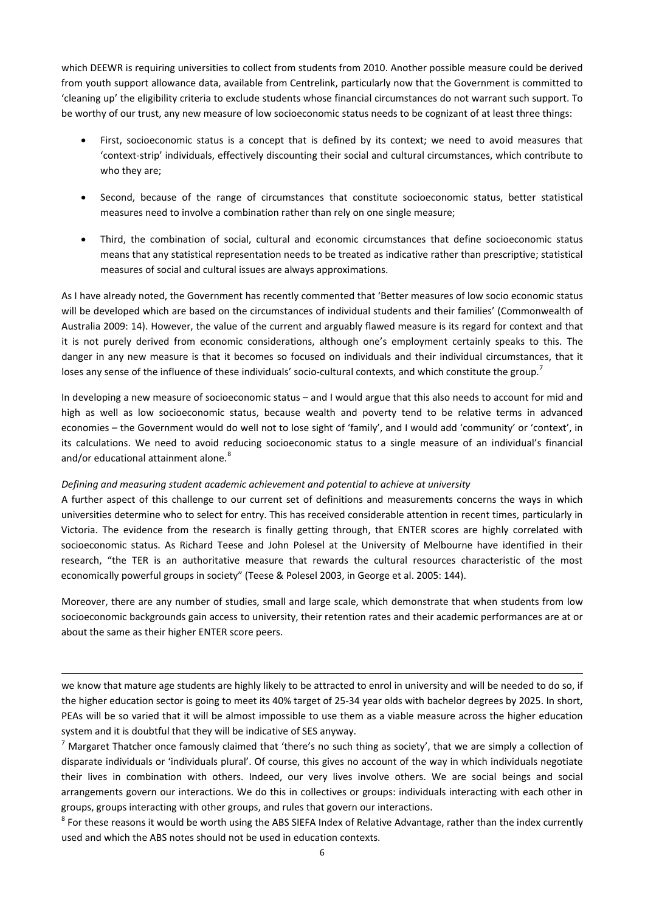which DEEWR is requiring universities to collect from students from 2010. Another possible measure could be derived from youth support allowance data, available from Centrelink, particularly now that the Government is committed to 'cleaning up' the eligibility criteria to exclude students whose financial circumstances do not warrant such support. To be worthy of our trust, any new measure of low socioeconomic status needs to be cognizant of at least three things:

- First, socioeconomic status is a concept that is defined by its context; we need to avoid measures that 'context‐strip' individuals, effectively discounting their social and cultural circumstances, which contribute to who they are;
- Second, because of the range of circumstances that constitute socioeconomic status, better statistical measures need to involve a combination rather than rely on one single measure;
- Third, the combination of social, cultural and economic circumstances that define socioeconomic status means that any statistical representation needs to be treated as indicative rather than prescriptive; statistical measures of social and cultural issues are always approximations.

As I have already noted, the Government has recently commented that 'Better measures of low socio economic status will be developed which are based on the circumstances of individual students and their families' (Commonwealth of Australia 2009: 14). However, the value of the current and arguably flawed measure is its regard for context and that it is not purely derived from economic considerations, although one's employment certainly speaks to this. The danger in any new measure is that it becomes so focused on individuals and their individual circumstances, that it loses any sense of the influence of these individuals' socio-cultural contexts, and which constitute the group.<sup>[7](#page-6-0)</sup>

In developing a new measure of socioeconomic status – and I would argue that this also needs to account for mid and high as well as low socioeconomic status, because wealth and poverty tend to be relative terms in advanced economies – the Government would do well not to lose sight of 'family', and I would add 'community' or 'context', in its calculations. We need to avoid reducing socioeconomic status to a single measure of an individual's financial and/or educational attainment alone.<sup>[8](#page-6-1)</sup>

# *Defining and measuring student academic achievement and potential to achieve at university*

A further aspect of this challenge to our current set of definitions and measurements concerns the ways in which universities determine who to select for entry. This has received considerable attention in recent times, particularly in Victoria. The evidence from the research is finally getting through, that ENTER scores are highly correlated with socioeconomic status. As Richard Teese and John Polesel at the University of Melbourne have identified in their research, "the TER is an authoritative measure that rewards the cultural resources characteristic of the most economically powerful groups in society" (Teese & Polesel 2003, in George et al. 2005: 144).

Moreover, there are any number of studies, small and large scale, which demonstrate that when students from low socioeconomic backgrounds gain access to university, their retention rates and their academic performances are at or about the same as their higher ENTER score peers.

we know that mature age students are highly likely to be attracted to enrol in university and will be needed to do so, if the higher education sector is going to meet its 40% target of 25‐34 year olds with bachelor degrees by 2025. In short, PEAs will be so varied that it will be almost impossible to use them as a viable measure across the higher education system and it is doubtful that they will be indicative of SES anyway.

<u> 1989 - Andrea San Andrea San Andrea San Andrea San Andrea San Andrea San Andrea San Andrea San Andrea San An</u>

<span id="page-6-0"></span> $<sup>7</sup>$  Margaret Thatcher once famously claimed that 'there's no such thing as society', that we are simply a collection of</sup> disparate individuals or 'individuals plural'. Of course, this gives no account of the way in which individuals negotiate their lives in combination with others. Indeed, our very lives involve others. We are social beings and social arrangements govern our interactions. We do this in collectives or groups: individuals interacting with each other in groups, groups interacting with other groups, and rules that govern our interactions.

<span id="page-6-1"></span><sup>8</sup> For these reasons it would be worth using the ABS SIEFA Index of Relative Advantage, rather than the index currently used and which the ABS notes should not be used in education contexts.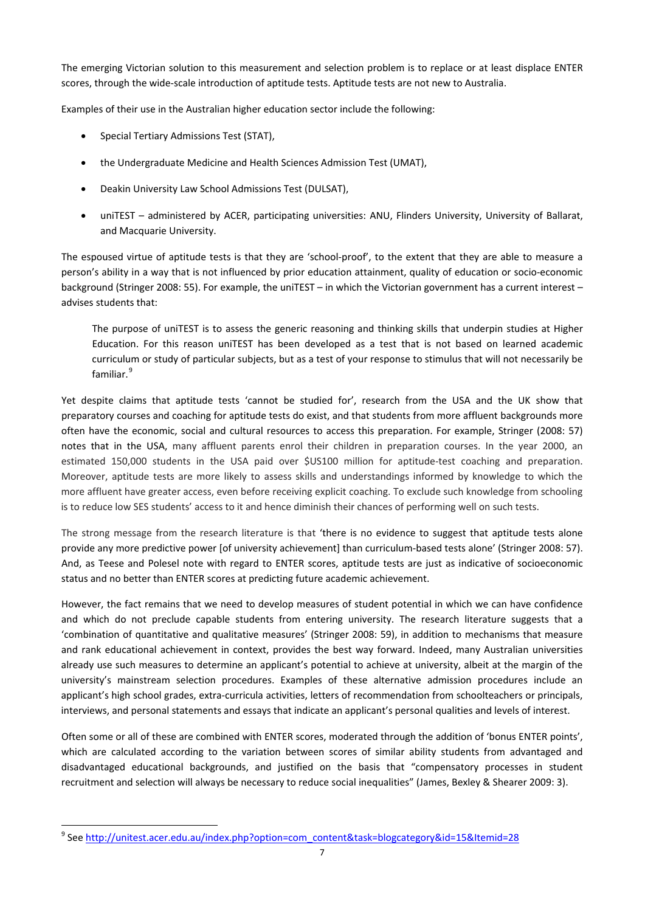The emerging Victorian solution to this measurement and selection problem is to replace or at least displace ENTER scores, through the wide‐scale introduction of aptitude tests. Aptitude tests are not new to Australia.

Examples of their use in the Australian higher education sector include the following:

- Special Tertiary Admissions Test (STAT),
- the Undergraduate Medicine and Health Sciences Admission Test (UMAT),
- Deakin University Law School Admissions Test (DULSAT),
- uniTEST administered by ACER, participating universities: ANU, Flinders University, University of Ballarat, and Macquarie University.

The espoused virtue of aptitude tests is that they are 'school-proof', to the extent that they are able to measure a person's ability in a way that is not influenced by prior education attainment, quality of education or socio‐economic background (Stringer 2008: 55). For example, the uniTEST – in which the Victorian government has a current interest – advises students that:

The purpose of uniTEST is to assess the generic reasoning and thinking skills that underpin studies at Higher Education. For this reason uniTEST has been developed as a test that is not based on learned academic curriculum or study of particular subjects, but as a test of your response to stimulus that will not necessarily be familiar.<sup>[9](#page-7-0)</sup>

Yet despite claims that aptitude tests 'cannot be studied for', research from the USA and the UK show that preparatory courses and coaching for aptitude tests do exist, and that students from more affluent backgrounds more often have the economic, social and cultural resources to access this preparation. For example, Stringer (2008: 57) notes that in the USA, many affluent parents enrol their children in preparation courses. In the year 2000, an estimated 150,000 students in the USA paid over \$US100 million for aptitude-test coaching and preparation. Moreover, aptitude tests are more likely to assess skills and understandings informed by knowledge to which the more affluent have greater access, even before receiving explicit coaching. To exclude such knowledge from schooling is to reduce low SES students' access to it and hence diminish their chances of performing well on such tests.

The strong message from the research literature is that 'there is no evidence to suggest that aptitude tests alone provide any more predictive power [of university achievement] than curriculum-based tests alone' (Stringer 2008: 57). And, as Teese and Polesel note with regard to ENTER scores, aptitude tests are just as indicative of socioeconomic status and no better than ENTER scores at predicting future academic achievement.

However, the fact remains that we need to develop measures of student potential in which we can have confidence and which do not preclude capable students from entering university. The research literature suggests that a 'combination of quantitative and qualitative measures' (Stringer 2008: 59), in addition to mechanisms that measure and rank educational achievement in context, provides the best way forward. Indeed, many Australian universities already use such measures to determine an applicant's potential to achieve at university, albeit at the margin of the university's mainstream selection procedures. Examples of these alternative admission procedures include an applicant's high school grades, extra‐curricula activities, letters of recommendation from schoolteachers or principals, interviews, and personal statements and essays that indicate an applicant's personal qualities and levels of interest.

Often some or all of these are combined with ENTER scores, moderated through the addition of 'bonus ENTER points', which are calculated according to the variation between scores of similar ability students from advantaged and disadvantaged educational backgrounds, and justified on the basis that "compensatory processes in student recruitment and selection will always be necessary to reduce social inequalities" (James, Bexley & Shearer 2009: 3).

<span id="page-7-0"></span><sup>9</sup> See [http://unitest.acer.edu.au/index.php?option=com\\_content&task=blogcategory&id=15&Itemid=28](http://unitest.acer.edu.au/index.php?option=com_content&task=blogcategory&id=15&Itemid=28)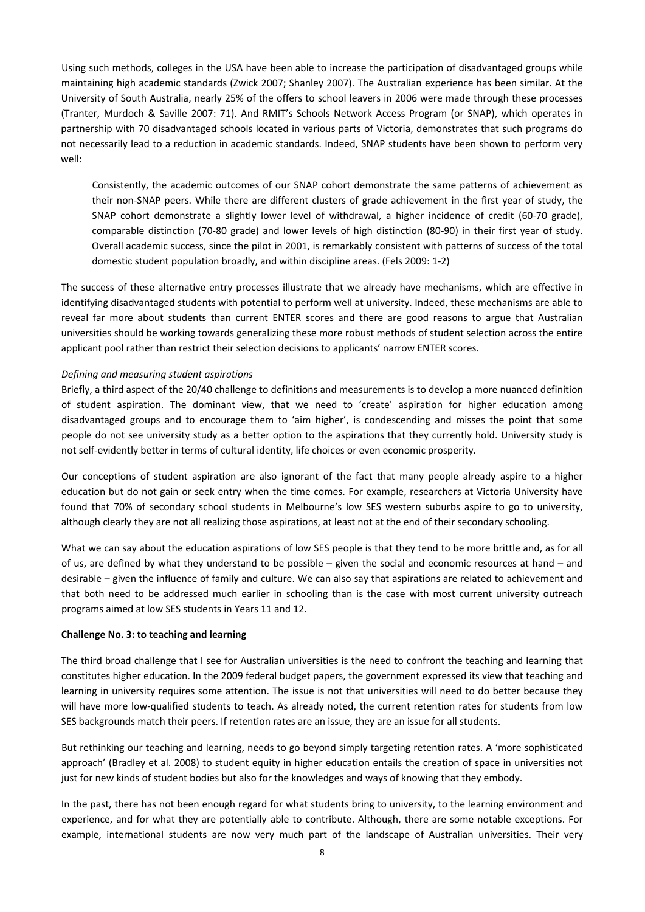Using such methods, colleges in the USA have been able to increase the participation of disadvantaged groups while maintaining high academic standards (Zwick 2007; Shanley 2007). The Australian experience has been similar. At the University of South Australia, nearly 25% of the offers to school leavers in 2006 were made through these processes (Tranter, Murdoch & Saville 2007: 71). And RMIT's Schools Network Access Program (or SNAP), which operates in partnership with 70 disadvantaged schools located in various parts of Victoria, demonstrates that such programs do not necessarily lead to a reduction in academic standards. Indeed, SNAP students have been shown to perform very well:

Consistently, the academic outcomes of our SNAP cohort demonstrate the same patterns of achievement as their non‐SNAP peers. While there are different clusters of grade achievement in the first year of study, the SNAP cohort demonstrate a slightly lower level of withdrawal, a higher incidence of credit (60‐70 grade), comparable distinction (70‐80 grade) and lower levels of high distinction (80‐90) in their first year of study. Overall academic success, since the pilot in 2001, is remarkably consistent with patterns of success of the total domestic student population broadly, and within discipline areas. (Fels 2009: 1‐2)

The success of these alternative entry processes illustrate that we already have mechanisms, which are effective in identifying disadvantaged students with potential to perform well at university. Indeed, these mechanisms are able to reveal far more about students than current ENTER scores and there are good reasons to argue that Australian universities should be working towards generalizing these more robust methods of student selection across the entire applicant pool rather than restrict their selection decisions to applicants' narrow ENTER scores.

## *Defining and measuring student aspirations*

Briefly, a third aspect of the 20/40 challenge to definitions and measurements is to develop a more nuanced definition of student aspiration. The dominant view, that we need to 'create' aspiration for higher education among disadvantaged groups and to encourage them to 'aim higher', is condescending and misses the point that some people do not see university study as a better option to the aspirations that they currently hold. University study is not self‐evidently better in terms of cultural identity, life choices or even economic prosperity.

Our conceptions of student aspiration are also ignorant of the fact that many people already aspire to a higher education but do not gain or seek entry when the time comes. For example, researchers at Victoria University have found that 70% of secondary school students in Melbourne's low SES western suburbs aspire to go to university, although clearly they are not all realizing those aspirations, at least not at the end of their secondary schooling.

What we can say about the education aspirations of low SES people is that they tend to be more brittle and, as for all of us, are defined by what they understand to be possible – given the social and economic resources at hand – and desirable – given the influence of family and culture. We can also say that aspirations are related to achievement and that both need to be addressed much earlier in schooling than is the case with most current university outreach programs aimed at low SES students in Years 11 and 12.

#### **Challenge No. 3: to teaching and learning**

The third broad challenge that I see for Australian universities is the need to confront the teaching and learning that constitutes higher education. In the 2009 federal budget papers, the government expressed its view that teaching and learning in university requires some attention. The issue is not that universities will need to do better because they will have more low-qualified students to teach. As already noted, the current retention rates for students from low SES backgrounds match their peers. If retention rates are an issue, they are an issue for all students.

But rethinking our teaching and learning, needs to go beyond simply targeting retention rates. A 'more sophisticated approach' (Bradley et al. 2008) to student equity in higher education entails the creation of space in universities not just for new kinds of student bodies but also for the knowledges and ways of knowing that they embody.

In the past, there has not been enough regard for what students bring to university, to the learning environment and experience, and for what they are potentially able to contribute. Although, there are some notable exceptions. For example, international students are now very much part of the landscape of Australian universities. Their very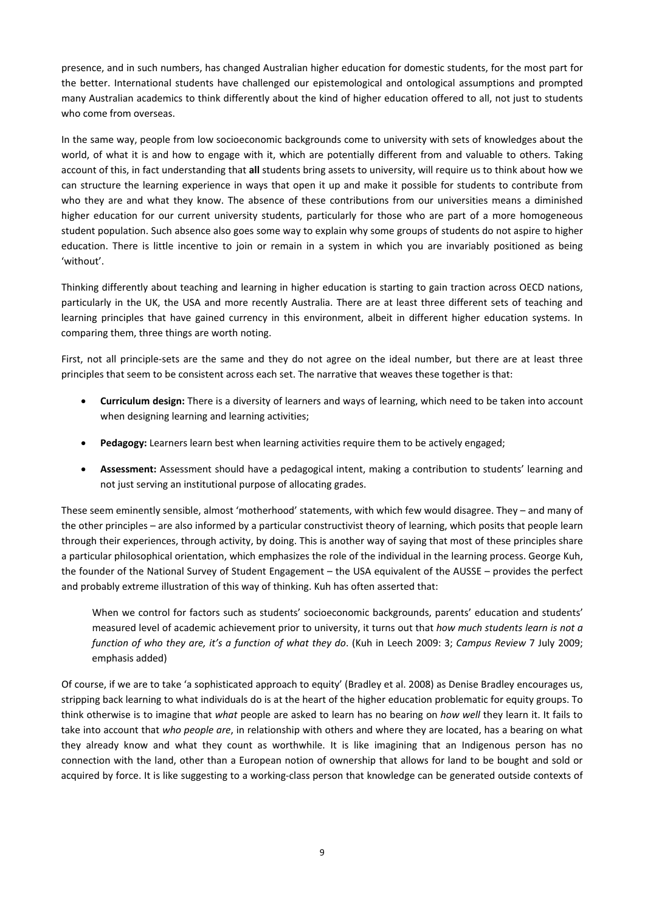presence, and in such numbers, has changed Australian higher education for domestic students, for the most part for the better. International students have challenged our epistemological and ontological assumptions and prompted many Australian academics to think differently about the kind of higher education offered to all, not just to students who come from overseas.

In the same way, people from low socioeconomic backgrounds come to university with sets of knowledges about the world, of what it is and how to engage with it, which are potentially different from and valuable to others. Taking account of this, in fact understanding that **all** students bring assets to university, will require us to think about how we can structure the learning experience in ways that open it up and make it possible for students to contribute from who they are and what they know. The absence of these contributions from our universities means a diminished higher education for our current university students, particularly for those who are part of a more homogeneous student population. Such absence also goes some way to explain why some groups of students do not aspire to higher education. There is little incentive to join or remain in a system in which you are invariably positioned as being 'without'.

Thinking differently about teaching and learning in higher education is starting to gain traction across OECD nations, particularly in the UK, the USA and more recently Australia. There are at least three different sets of teaching and learning principles that have gained currency in this environment, albeit in different higher education systems. In comparing them, three things are worth noting.

First, not all principle-sets are the same and they do not agree on the ideal number, but there are at least three principles that seem to be consistent across each set. The narrative that weaves these together is that:

- **Curriculum design:** There is a diversity of learners and ways of learning, which need to be taken into account when designing learning and learning activities;
- **Pedagogy:** Learners learn best when learning activities require them to be actively engaged;
- **Assessment:** Assessment should have a pedagogical intent, making a contribution to students' learning and not just serving an institutional purpose of allocating grades.

These seem eminently sensible, almost 'motherhood' statements, with which few would disagree. They – and many of the other principles – are also informed by a particular constructivist theory of learning, which posits that people learn through their experiences, through activity, by doing. This is another way of saying that most of these principles share a particular philosophical orientation, which emphasizes the role of the individual in the learning process. George Kuh, the founder of the National Survey of Student Engagement – the USA equivalent of the AUSSE – provides the perfect and probably extreme illustration of this way of thinking. Kuh has often asserted that:

When we control for factors such as students' socioeconomic backgrounds, parents' education and students' measured level of academic achievement prior to university, it turns out that *how much students learn is not a function of who they are, it's a function of what they do*. (Kuh in Leech 2009: 3; *Campus Review* 7 July 2009; emphasis added)

Of course, if we are to take 'a sophisticated approach to equity' (Bradley et al. 2008) as Denise Bradley encourages us, stripping back learning to what individuals do is at the heart of the higher education problematic for equity groups. To think otherwise is to imagine that *what* people are asked to learn has no bearing on *how well* they learn it. It fails to take into account that *who people are*, in relationship with others and where they are located, has a bearing on what they already know and what they count as worthwhile. It is like imagining that an Indigenous person has no connection with the land, other than a European notion of ownership that allows for land to be bought and sold or acquired by force. It is like suggesting to a working-class person that knowledge can be generated outside contexts of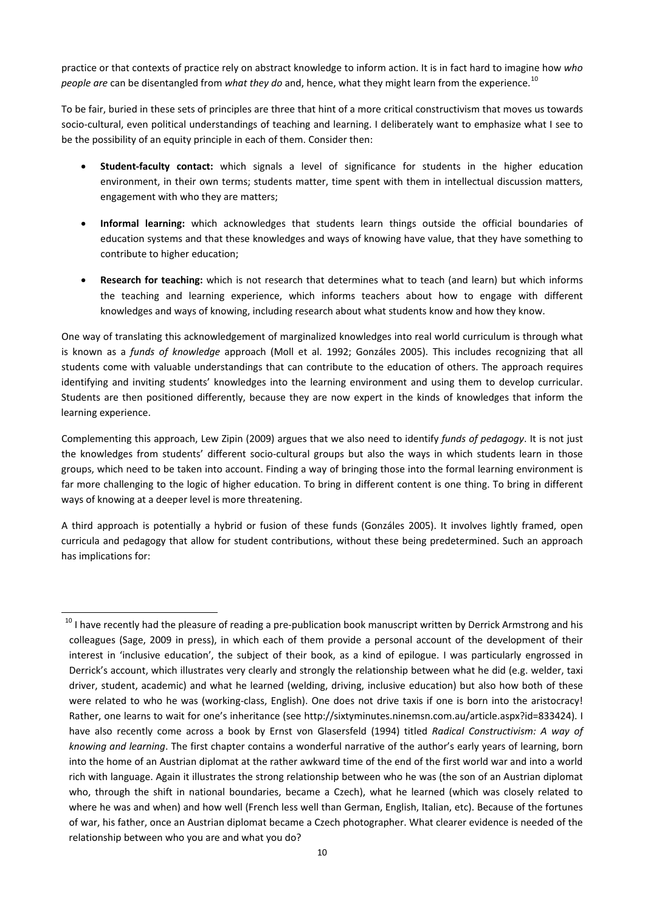practice or that contexts of practice rely on abstract knowledge to inform action. It is in fact hard to imagine how *who people are* can be disentangled from *what they do* and, hence, what they might learn from the experience.<sup>[10](#page-10-0)</sup>

To be fair, buried in these sets of principles are three that hint of a more critical constructivism that moves us towards socio-cultural, even political understandings of teaching and learning. I deliberately want to emphasize what I see to be the possibility of an equity principle in each of them. Consider then:

- **Student‐faculty contact:** which signals a level of significance for students in the higher education environment, in their own terms; students matter, time spent with them in intellectual discussion matters, engagement with who they are matters;
- **Informal learning:** which acknowledges that students learn things outside the official boundaries of education systems and that these knowledges and ways of knowing have value, that they have something to contribute to higher education;
- **Research for teaching:** which is not research that determines what to teach (and learn) but which informs the teaching and learning experience, which informs teachers about how to engage with different knowledges and ways of knowing, including research about what students know and how they know.

One way of translating this acknowledgement of marginalized knowledges into real world curriculum is through what is known as a *funds of knowledge* approach (Moll et al. 1992; Gonzáles 2005). This includes recognizing that all students come with valuable understandings that can contribute to the education of others. The approach requires identifying and inviting students' knowledges into the learning environment and using them to develop curricular. Students are then positioned differently, because they are now expert in the kinds of knowledges that inform the learning experience.

Complementing this approach, Lew Zipin (2009) argues that we also need to identify *funds of pedagogy*. It is not just the knowledges from students' different socio-cultural groups but also the ways in which students learn in those groups, which need to be taken into account. Finding a way of bringing those into the formal learning environment is far more challenging to the logic of higher education. To bring in different content is one thing. To bring in different ways of knowing at a deeper level is more threatening.

A third approach is potentially a hybrid or fusion of these funds (Gonzáles 2005). It involves lightly framed, open curricula and pedagogy that allow for student contributions, without these being predetermined. Such an approach has implications for:

<span id="page-10-0"></span> <sup>10</sup> I have recently had the pleasure of reading a pre-publication book manuscript written by Derrick Armstrong and his colleagues (Sage, 2009 in press), in which each of them provide a personal account of the development of their interest in 'inclusive education', the subject of their book, as a kind of epilogue. I was particularly engrossed in Derrick's account, which illustrates very clearly and strongly the relationship between what he did (e.g. welder, taxi driver, student, academic) and what he learned (welding, driving, inclusive education) but also how both of these were related to who he was (working-class, English). One does not drive taxis if one is born into the aristocracy! Rather, one learns to wait for one's inheritance (see http://sixtyminutes.ninemsn.com.au/article.aspx?id=833424). I have also recently come across a book by Ernst von Glasersfeld (1994) titled *Radical Constructivism: A way of knowing and learning*. The first chapter contains a wonderful narrative of the author's early years of learning, born into the home of an Austrian diplomat at the rather awkward time of the end of the first world war and into a world rich with language. Again it illustrates the strong relationship between who he was (the son of an Austrian diplomat who, through the shift in national boundaries, became a Czech), what he learned (which was closely related to where he was and when) and how well (French less well than German, English, Italian, etc). Because of the fortunes of war, his father, once an Austrian diplomat became a Czech photographer. What clearer evidence is needed of the relationship between who you are and what you do?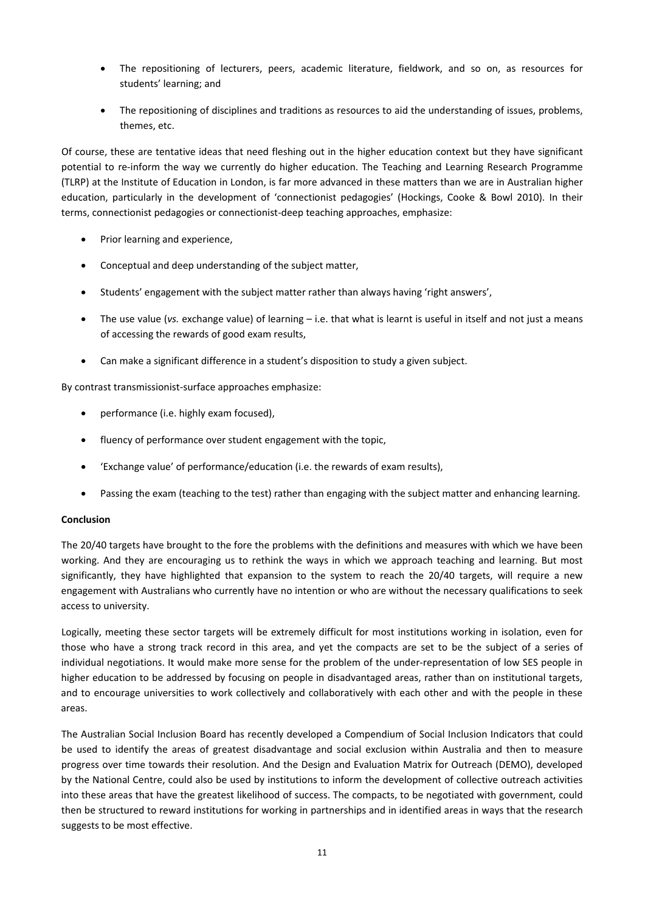- The repositioning of lecturers, peers, academic literature, fieldwork, and so on, as resources for students' learning; and
- The repositioning of disciplines and traditions as resources to aid the understanding of issues, problems, themes, etc.

Of course, these are tentative ideas that need fleshing out in the higher education context but they have significant potential to re‐inform the way we currently do higher education. The Teaching and Learning Research Programme (TLRP) at the Institute of Education in London, is far more advanced in these matters than we are in Australian higher education, particularly in the development of 'connectionist pedagogies' (Hockings, Cooke & Bowl 2010). In their terms, connectionist pedagogies or connectionist‐deep teaching approaches, emphasize:

- Prior learning and experience,
- Conceptual and deep understanding of the subject matter,
- Students' engagement with the subject matter rather than always having 'right answers',
- The use value (*vs.* exchange value) of learning i.e. that what is learnt is useful in itself and not just a means of accessing the rewards of good exam results,
- Can make a significant difference in a student's disposition to study a given subject.

By contrast transmissionist‐surface approaches emphasize:

- performance (i.e. highly exam focused),
- fluency of performance over student engagement with the topic,
- 'Exchange value' of performance/education (i.e. the rewards of exam results),
- Passing the exam (teaching to the test) rather than engaging with the subject matter and enhancing learning.

# **Conclusion**

The 20/40 targets have brought to the fore the problems with the definitions and measures with which we have been working. And they are encouraging us to rethink the ways in which we approach teaching and learning. But most significantly, they have highlighted that expansion to the system to reach the 20/40 targets, will require a new engagement with Australians who currently have no intention or who are without the necessary qualifications to seek access to university.

Logically, meeting these sector targets will be extremely difficult for most institutions working in isolation, even for those who have a strong track record in this area, and yet the compacts are set to be the subject of a series of individual negotiations. It would make more sense for the problem of the under‐representation of low SES people in higher education to be addressed by focusing on people in disadvantaged areas, rather than on institutional targets, and to encourage universities to work collectively and collaboratively with each other and with the people in these areas.

The Australian Social Inclusion Board has recently developed a Compendium of Social Inclusion Indicators that could be used to identify the areas of greatest disadvantage and social exclusion within Australia and then to measure progress over time towards their resolution. And the Design and Evaluation Matrix for Outreach (DEMO), developed by the National Centre, could also be used by institutions to inform the development of collective outreach activities into these areas that have the greatest likelihood of success. The compacts, to be negotiated with government, could then be structured to reward institutions for working in partnerships and in identified areas in ways that the research suggests to be most effective.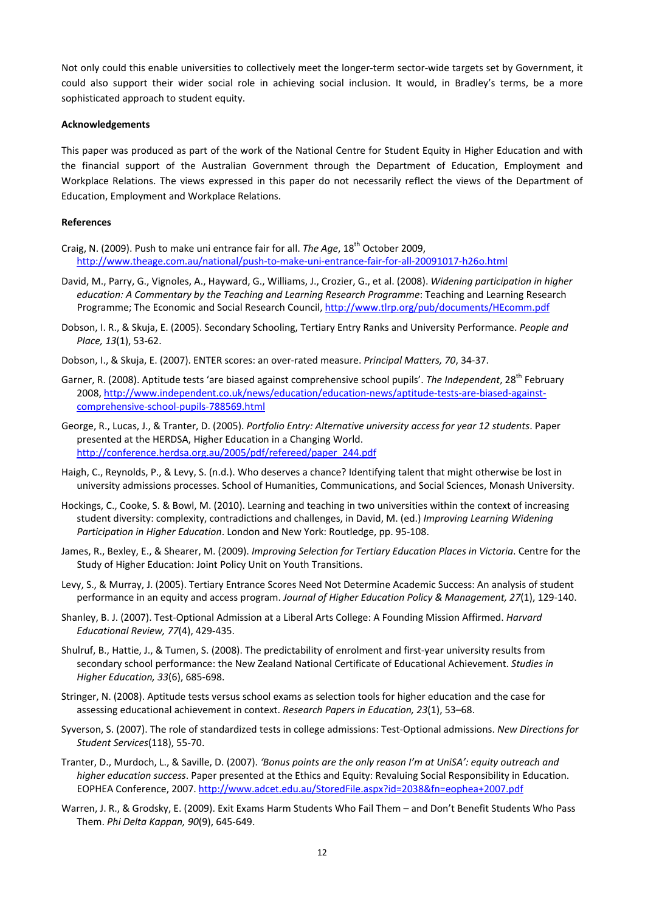Not only could this enable universities to collectively meet the longer-term sector-wide targets set by Government, it could also support their wider social role in achieving social inclusion. It would, in Bradley's terms, be a more sophisticated approach to student equity.

#### **Acknowledgements**

This paper was produced as part of the work of the National Centre for Student Equity in Higher Education and with the financial support of the Australian Government through the Department of Education, Employment and Workplace Relations. The views expressed in this paper do not necessarily reflect the views of the Department of Education, Employment and Workplace Relations.

#### **References**

- Craig, N. (2009). Push to make uni entrance fair for all. *The Age*, 18th October 2009, [http://www.theage.com.au/national/push](http://www.theage.com.au/national/push-to-make-uni-entrance-fair-for-all-20091017-h26o.html)‐to‐make‐uni‐entrance‐fair‐for‐all‐20091017‐h26o.html
- David, M., Parry, G., Vignoles, A., Hayward, G., Williams, J., Crozier, G., et al. (2008). *Widening participation in higher education: A Commentary by the Teaching and Learning Research Programme*: Teaching and Learning Research Programme; The Economic and Social Research Council, <http://www.tlrp.org/pub/documents/HEcomm.pdf>
- Dobson, I. R., & Skuja, E. (2005). Secondary Schooling, Tertiary Entry Ranks and University Performance. *People and Place, 13*(1), 53‐62.
- Dobson, I., & Skuja, E. (2007). ENTER scores: an over‐rated measure. *Principal Matters, 70*, 34‐37.
- Garner, R. (2008). Aptitude tests 'are biased against comprehensive school pupils'. The Independent, 28<sup>th</sup> February 2008, [http://www.independent.co.uk/news/education/education](http://www.independent.co.uk/news/education/education-news/aptitude-tests-are-biased-against-comprehensive-school-pupils-788569.html)‐news/aptitude‐tests‐are‐biased‐against‐ [comprehensive](http://www.independent.co.uk/news/education/education-news/aptitude-tests-are-biased-against-comprehensive-school-pupils-788569.html)‐school‐pupils‐788569.html
- George, R., Lucas, J., & Tranter, D. (2005). *Portfolio Entry: Alternative university access for year 12 students*. Paper presented at the HERDSA, Higher Education in a Changing World. [http://conference.herdsa.org.au/2005/pdf/refereed/paper\\_244.pdf](http://conference.herdsa.org.au/2005/pdf/refereed/paper_244.pdf)
- Haigh, C., Reynolds, P., & Levy, S. (n.d.). Who deserves a chance? Identifying talent that might otherwise be lost in university admissions processes. School of Humanities, Communications, and Social Sciences, Monash University.
- Hockings, C., Cooke, S. & Bowl, M. (2010). Learning and teaching in two universities within the context of increasing student diversity: complexity, contradictions and challenges, in David, M. (ed.) *Improving Learning Widening Participation in Higher Education*. London and New York: Routledge, pp. 95‐108.
- James, R., Bexley, E., & Shearer, M. (2009). *Improving Selection for Tertiary Education Places in Victoria*. Centre for the Study of Higher Education: Joint Policy Unit on Youth Transitions.
- Levy, S., & Murray, J. (2005). Tertiary Entrance Scores Need Not Determine Academic Success: An analysis of student performance in an equity and access program. *Journal of Higher Education Policy & Management, 27*(1), 129‐140.
- Shanley, B. J. (2007). Test‐Optional Admission at a Liberal Arts College: A Founding Mission Affirmed. *Harvard Educational Review, 77*(4), 429‐435.
- Shulruf, B., Hattie, J., & Tumen, S. (2008). The predictability of enrolment and first‐year university results from secondary school performance: the New Zealand National Certificate of Educational Achievement. *Studies in Higher Education, 33*(6), 685‐698.
- Stringer, N. (2008). Aptitude tests versus school exams as selection tools for higher education and the case for assessing educational achievement in context. *Research Papers in Education, 23*(1), 53–68.
- Syverson, S. (2007). The role of standardized tests in college admissions: Test‐Optional admissions. *New Directions for Student Services*(118), 55‐70.
- Tranter, D., Murdoch, L., & Saville, D. (2007). *'Bonus points are the only reason I'm at UniSA': equity outreach and higher education success*. Paper presented at the Ethics and Equity: Revaluing Social Responsibility in Education. EOPHEA Conference, 2007. <http://www.adcet.edu.au/StoredFile.aspx?id=2038&fn=eophea+2007.pdf>
- Warren, J. R., & Grodsky, E. (2009). Exit Exams Harm Students Who Fail Them and Don't Benefit Students Who Pass Them. *Phi Delta Kappan, 90*(9), 645‐649.